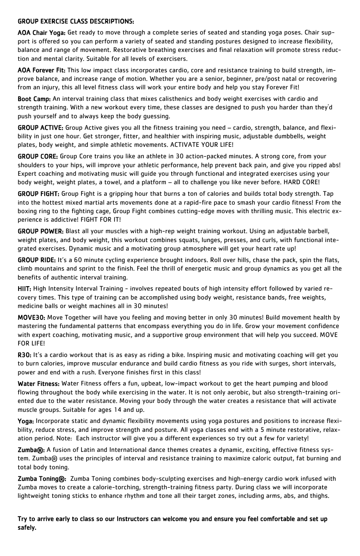# GROUP EXERCISE CLASS DESCRIPTIONS:

AOA Chair Yoga: Get ready to move through a complete series of seated and standing yoga poses. Chair support is offered so you can perform a variety of seated and standing postures designed to increase flexibility, balance and range of movement. Restorative breathing exercises and final relaxation will promote stress reduction and mental clarity. Suitable for all levels of exercisers.

AOA Forever Fit: This low impact class incorporates cardio, core and resistance training to build strength, improve balance, and increase range of motion. Whether you are a senior, beginner, pre/post natal or recovering from an injury, this all level fitness class will work your entire body and help you stay Forever Fit!

Boot Camp: An interval training class that mixes calisthenics and body weight exercises with cardio and strength training. With a new workout every time, these classes are designed to push you harder than they'd push yourself and to always keep the body guessing.

GROUP ACTIVE: Group Active gives you all the fitness training you need – cardio, strength, balance, and flexibility in just one hour. Get stronger, fitter, and healthier with inspiring music, adjustable dumbbells, weight plates, body weight, and simple athletic movements. ACTIVATE YOUR LIFE!

GROUP RIDE: It's a 60 minute cycling experience brought indoors. Roll over hills, chase the pack, spin the flats, climb mountains and sprint to the finish. Feel the thrill of energetic music and group dynamics as you get all the benefits of authentic interval training.

GROUP CORE: Group Core trains you like an athlete in 30 action-packed minutes. A strong core, from your shoulders to your hips, will improve your athletic performance, help prevent back pain, and give you ripped abs! Expert coaching and motivating music will guide you through functional and integrated exercises using your body weight, weight plates, a towel, and a platform – all to challenge you like never before. HARD CORE!

R30: It's a cardio workout that is as easy as riding a bike. Inspiring music and motivating coaching will get you to burn calories, improve muscular endurance and build cardio fitness as you ride with surges, short intervals, power and end with a rush. Everyone finishes first in this class!

GROUP FIGHT: Group Fight is a gripping hour that burns a ton of calories and builds total body strength. Tap into the hottest mixed martial arts movements done at a rapid-fire pace to smash your cardio fitness! From the boxing ring to the fighting cage, Group Fight combines cutting-edge moves with thrilling music. This electric experience is addictive! FIGHT FOR IT!

Water Fitness: Water Fitness offers a fun, upbeat, low-impact workout to get the heart pumping and blood flowing throughout the body while exercising in the water. It is not only aerobic, but also strength-training oriented due to the water resistance. Moving your body through the water creates a resistance that will activate

GROUP POWER: Blast all your muscles with a high-rep weight training workout. Using an adjustable barbell, weight plates, and body weight, this workout combines squats, lunges, presses, and curls, with functional integrated exercises. Dynamic music and a motivating group atmosphere will get your heart rate up!

Zumba®: A fusion of Latin and International dance themes creates a dynamic, exciting, effective fitness system. Zumba® uses the principles of interval and resistance training to maximize caloric output, fat burning and total body toning.

Zumba Toning®: Zumba Toning combines body-sculpting exercises and high-energy cardio work infused with Zumba moves to create a calorie-torching, strength-training fitness party. During class we will incorporate lightweight toning sticks to enhance rhythm and tone all their target zones, including arms, abs, and thighs.

HIIT: High Intensity Interval Training - involves repeated bouts of high intensity effort followed by varied recovery times. This type of training can be accomplished using body weight, resistance bands, free weights, medicine balls or weight machines all in 30 minutes!

MOVE30: Move Together will have you feeling and moving better in only 30 minutes! Build movement health by mastering the fundamental patterns that encompass everything you do in life. Grow your movement confidence with expert coaching, motivating music, and a supportive group environment that will help you succeed. MOVE FOR LIFE!

muscle groups. Suitable for ages 14 and up.

Yoga: Incorporate static and dynamic flexibility movements using yoga postures and positions to increase flexibility, reduce stress, and improve strength and posture. All yoga classes end with a 5 minute restorative, relaxation period. Note: Each instructor will give you a different experiences so try out a few for variety!

Try to arrive early to class so our Instructors can welcome you and ensure you feel comfortable and set up safely.